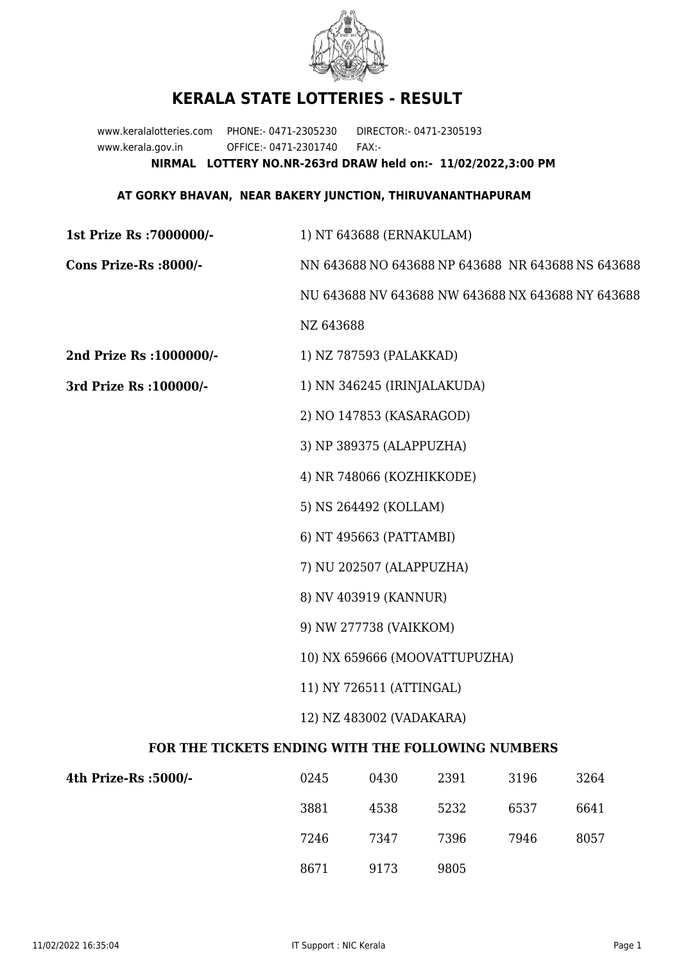

## **KERALA STATE LOTTERIES - RESULT**

www.keralalotteries.com PHONE:- 0471-2305230 DIRECTOR:- 0471-2305193 www.kerala.gov.in OFFICE:- 0471-2301740 FAX:- **NIRMAL LOTTERY NO.NR-263rd DRAW held on:- 11/02/2022,3:00 PM**

## **AT GORKY BHAVAN, NEAR BAKERY JUNCTION, THIRUVANANTHAPURAM**

| 1st Prize Rs : 7000000/-                          | 1) NT 643688 (ERNAKULAM)                                  |                         |      |      |      |
|---------------------------------------------------|-----------------------------------------------------------|-------------------------|------|------|------|
| Cons Prize-Rs :8000/-                             | NN 643688 NO 643688 NP 643688 NR 643688 NS 643688         |                         |      |      |      |
|                                                   | NU 643688 NV 643688 NW 643688 NX 643688 NY 643688         |                         |      |      |      |
|                                                   | NZ 643688                                                 |                         |      |      |      |
| 2nd Prize Rs : 1000000/-                          |                                                           | 1) NZ 787593 (PALAKKAD) |      |      |      |
| 3rd Prize Rs : 100000/-                           | 1) NN 346245 (IRINJALAKUDA)                               |                         |      |      |      |
|                                                   | 2) NO 147853 (KASARAGOD)                                  |                         |      |      |      |
|                                                   | 3) NP 389375 (ALAPPUZHA)                                  |                         |      |      |      |
|                                                   | 4) NR 748066 (KOZHIKKODE)                                 |                         |      |      |      |
|                                                   | 5) NS 264492 (KOLLAM)                                     |                         |      |      |      |
|                                                   | 6) NT 495663 (PATTAMBI)                                   |                         |      |      |      |
|                                                   | 7) NU 202507 (ALAPPUZHA)                                  |                         |      |      |      |
|                                                   | 8) NV 403919 (KANNUR)                                     |                         |      |      |      |
|                                                   | 9) NW 277738 (VAIKKOM)                                    |                         |      |      |      |
|                                                   | 10) NX 659666 (MOOVATTUPUZHA)<br>11) NY 726511 (ATTINGAL) |                         |      |      |      |
|                                                   |                                                           |                         |      |      |      |
|                                                   |                                                           |                         |      |      |      |
| FOR THE TICKETS ENDING WITH THE FOLLOWING NUMBERS |                                                           |                         |      |      |      |
| 4th Prize-Rs :5000/-                              | 0245                                                      | 0430                    | 2391 | 3196 | 3264 |
|                                                   | 3881                                                      | 4538                    | 5232 | 6537 | 6641 |
|                                                   |                                                           |                         |      |      |      |

8671 9173 9805

7246 7347 7396 7946 8057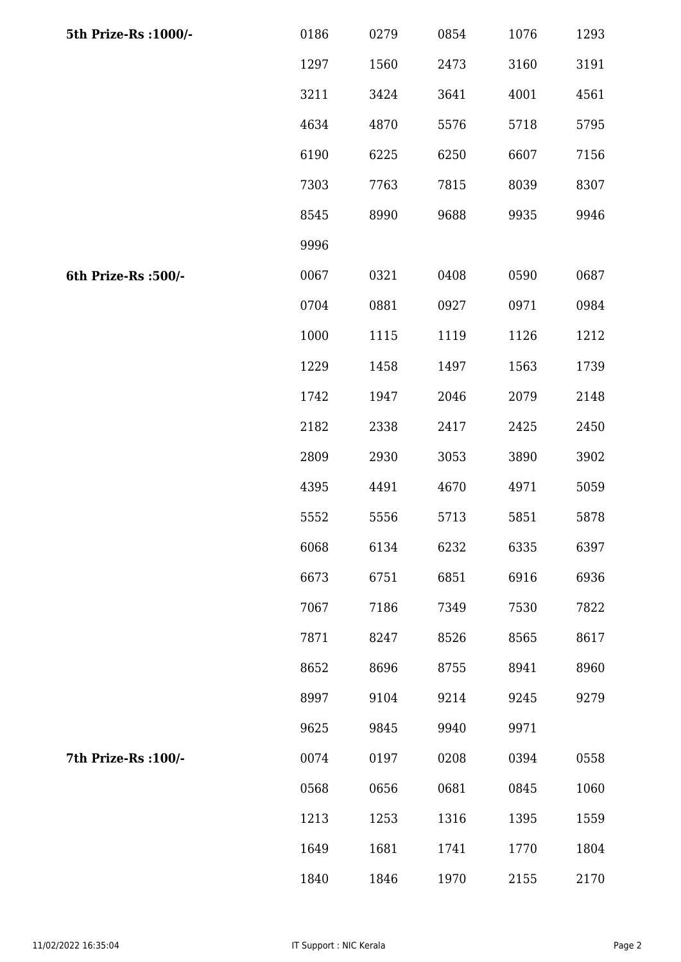| 5th Prize-Rs : 1000/- | 0186 | 0279 | 0854 | 1076 | 1293 |
|-----------------------|------|------|------|------|------|
|                       | 1297 | 1560 | 2473 | 3160 | 3191 |
|                       | 3211 | 3424 | 3641 | 4001 | 4561 |
|                       | 4634 | 4870 | 5576 | 5718 | 5795 |
|                       | 6190 | 6225 | 6250 | 6607 | 7156 |
|                       | 7303 | 7763 | 7815 | 8039 | 8307 |
|                       | 8545 | 8990 | 9688 | 9935 | 9946 |
|                       | 9996 |      |      |      |      |
| 6th Prize-Rs :500/-   | 0067 | 0321 | 0408 | 0590 | 0687 |
|                       | 0704 | 0881 | 0927 | 0971 | 0984 |
|                       | 1000 | 1115 | 1119 | 1126 | 1212 |
|                       | 1229 | 1458 | 1497 | 1563 | 1739 |
|                       | 1742 | 1947 | 2046 | 2079 | 2148 |
|                       | 2182 | 2338 | 2417 | 2425 | 2450 |
|                       | 2809 | 2930 | 3053 | 3890 | 3902 |
|                       | 4395 | 4491 | 4670 | 4971 | 5059 |
|                       | 5552 | 5556 | 5713 | 5851 | 5878 |
|                       | 6068 | 6134 | 6232 | 6335 | 6397 |
|                       | 6673 | 6751 | 6851 | 6916 | 6936 |
|                       | 7067 | 7186 | 7349 | 7530 | 7822 |
|                       | 7871 | 8247 | 8526 | 8565 | 8617 |
|                       | 8652 | 8696 | 8755 | 8941 | 8960 |
|                       | 8997 | 9104 | 9214 | 9245 | 9279 |
|                       | 9625 | 9845 | 9940 | 9971 |      |
| 7th Prize-Rs : 100/-  | 0074 | 0197 | 0208 | 0394 | 0558 |
|                       | 0568 | 0656 | 0681 | 0845 | 1060 |
|                       | 1213 | 1253 | 1316 | 1395 | 1559 |
|                       | 1649 | 1681 | 1741 | 1770 | 1804 |
|                       | 1840 | 1846 | 1970 | 2155 | 2170 |